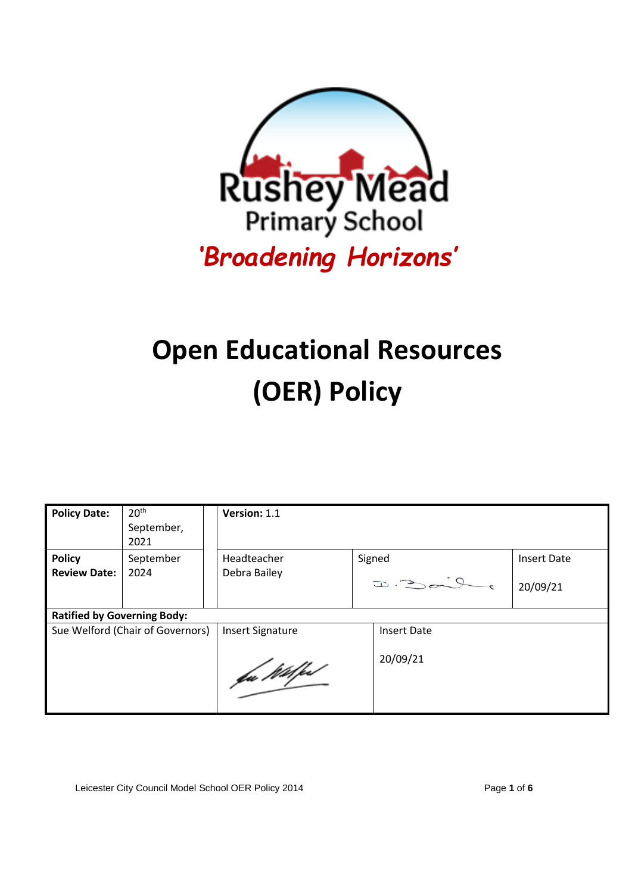

# **Open Educational Resources (OER) Policy**

| <b>Policy Date:</b>                | 20 <sup>th</sup><br>September,<br>2021 | Version: 1.1            |  |                    |                    |
|------------------------------------|----------------------------------------|-------------------------|--|--------------------|--------------------|
| <b>Policy</b>                      | September                              | Headteacher             |  | Signed             | <b>Insert Date</b> |
| <b>Review Date:</b>                | 2024                                   | Debra Bailey            |  | $D:Dom^{2}Q$       | 20/09/21           |
| <b>Ratified by Governing Body:</b> |                                        |                         |  |                    |                    |
| Sue Welford (Chair of Governors)   |                                        | <b>Insert Signature</b> |  | <b>Insert Date</b> |                    |
|                                    |                                        | fa Wilfe                |  | 20/09/21           |                    |

Leicester City Council Model School OER Policy 2014 Page **1** of **6**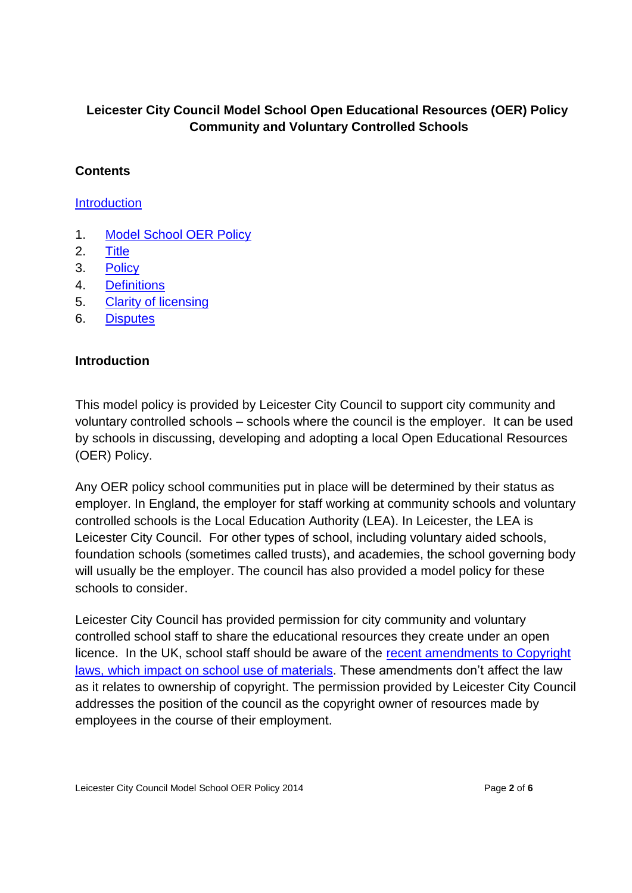## **Leicester City Council Model School Open Educational Resources (OER) Policy Community and Voluntary Controlled Schools**

#### **Contents**

**[Introduction](#page-1-0)** 

- 1. [Model School OER Policy](#page-2-0)
- 2. [Title](#page-2-0)
- 3. [Policy](#page-2-0)
- 4. [Definitions](#page-3-0)
- 5. [Clarity of licensing](#page-3-1)
- 6. [Disputes](#page-4-0)

#### <span id="page-1-0"></span>**Introduction**

This model policy is provided by Leicester City Council to support city community and voluntary controlled schools – schools where the council is the employer. It can be used by schools in discussing, developing and adopting a local Open Educational Resources (OER) Policy.

Any OER policy school communities put in place will be determined by their status as employer. In England, the employer for staff working at community schools and voluntary controlled schools is the Local Education Authority (LEA). In Leicester, the LEA is Leicester City Council. For other types of school, including voluntary aided schools, foundation schools (sometimes called trusts), and academies, the school governing body will usually be the employer. The council has also provided a model policy for these schools to consider.

Leicester City Council has provided permission for city community and voluntary controlled school staff to share the educational resources they create under an open licence. In the UK, school staff should be aware of the [recent amendments to Copyright](http://www.copyrightsandwrongs.nen.gov.uk/ipr-and-copyright?layout=item)  [laws, which impact on school](http://www.copyrightsandwrongs.nen.gov.uk/ipr-and-copyright?layout=item) use of materials. These amendments don't affect the law as it relates to ownership of copyright. The permission provided by Leicester City Council addresses the position of the council as the copyright owner of resources made by employees in the course of their employment.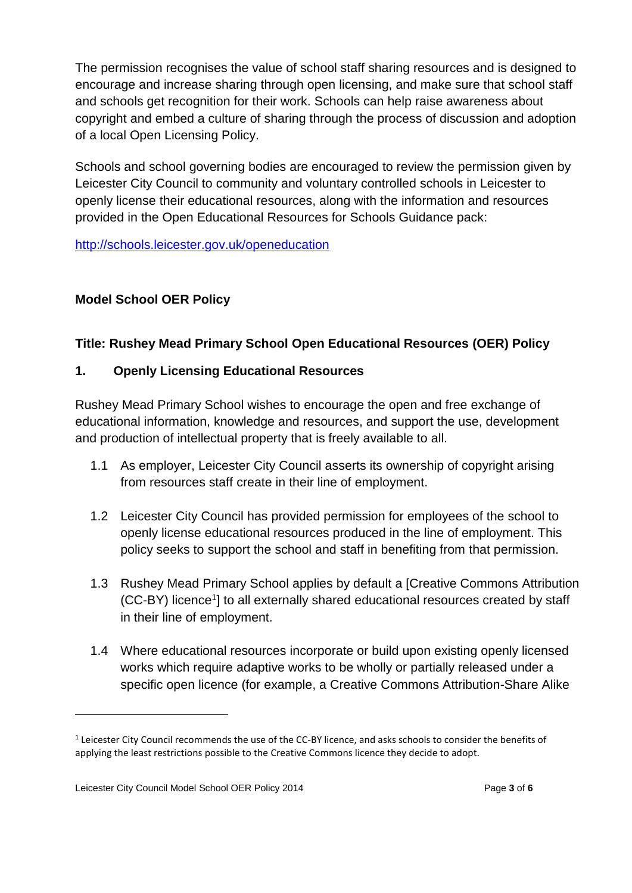The permission recognises the value of school staff sharing resources and is designed to encourage and increase sharing through open licensing, and make sure that school staff and schools get recognition for their work. Schools can help raise awareness about copyright and embed a culture of sharing through the process of discussion and adoption of a local Open Licensing Policy.

Schools and school governing bodies are encouraged to review the permission given by Leicester City Council to community and voluntary controlled schools in Leicester to openly license their educational resources, along with the information and resources provided in the Open Educational Resources for Schools Guidance pack:

<http://schools.leicester.gov.uk/openeducation>

## <span id="page-2-0"></span>**Model School OER Policy**

## **Title: Rushey Mead Primary School Open Educational Resources (OER) Policy**

## **1. Openly Licensing Educational Resources**

Rushey Mead Primary School wishes to encourage the open and free exchange of educational information, knowledge and resources, and support the use, development and production of intellectual property that is freely available to all.

- 1.1 As employer, Leicester City Council asserts its ownership of copyright arising from resources staff create in their line of employment.
- 1.2 Leicester City Council has provided permission for employees of the school to openly license educational resources produced in the line of employment. This policy seeks to support the school and staff in benefiting from that permission.
- 1.3 Rushey Mead Primary School applies by default a [Creative Commons Attribution (CC-BY) licence<sup>1</sup>] to all externally shared educational resources created by staff in their line of employment.
- 1.4 Where educational resources incorporate or build upon existing openly licensed works which require adaptive works to be wholly or partially released under a specific open licence (for example, a Creative Commons Attribution-Share Alike

 $\overline{a}$ 

 $<sup>1</sup>$  Leicester City Council recommends the use of the CC-BY licence, and asks schools to consider the benefits of</sup> applying the least restrictions possible to the Creative Commons licence they decide to adopt.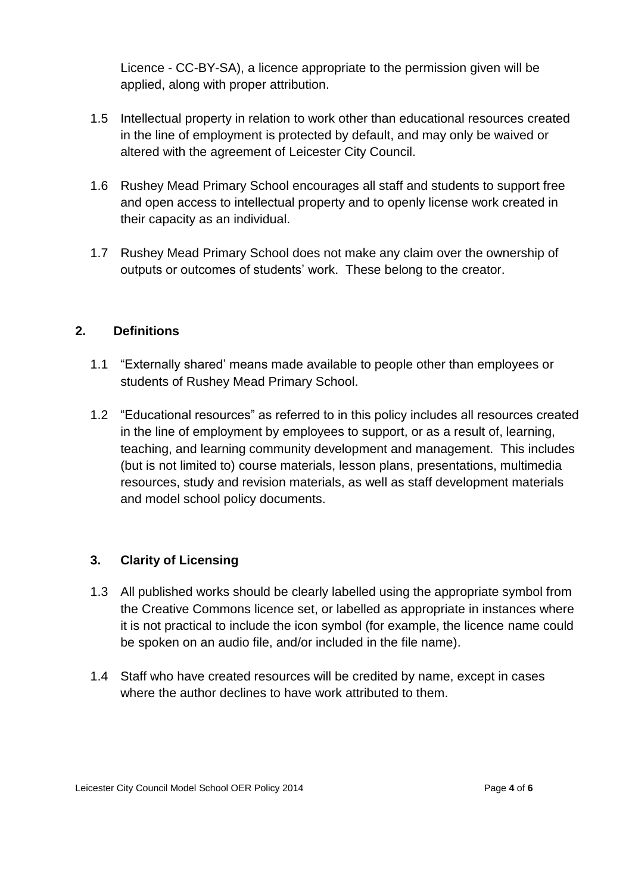Licence - CC-BY-SA), a licence appropriate to the permission given will be applied, along with proper attribution.

- 1.5 Intellectual property in relation to work other than educational resources created in the line of employment is protected by default, and may only be waived or altered with the agreement of Leicester City Council.
- 1.6 Rushey Mead Primary School encourages all staff and students to support free and open access to intellectual property and to openly license work created in their capacity as an individual.
- 1.7 Rushey Mead Primary School does not make any claim over the ownership of outputs or outcomes of students' work. These belong to the creator.

#### <span id="page-3-0"></span>**2. Definitions**

- 1.1 "Externally shared' means made available to people other than employees or students of Rushey Mead Primary School.
- 1.2 "Educational resources" as referred to in this policy includes all resources created in the line of employment by employees to support, or as a result of, learning, teaching, and learning community development and management. This includes (but is not limited to) course materials, lesson plans, presentations, multimedia resources, study and revision materials, as well as staff development materials and model school policy documents.

## <span id="page-3-1"></span>**3. Clarity of Licensing**

- 1.3 All published works should be clearly labelled using the appropriate symbol from the Creative Commons licence set, or labelled as appropriate in instances where it is not practical to include the icon symbol (for example, the licence name could be spoken on an audio file, and/or included in the file name).
- 1.4 Staff who have created resources will be credited by name, except in cases where the author declines to have work attributed to them.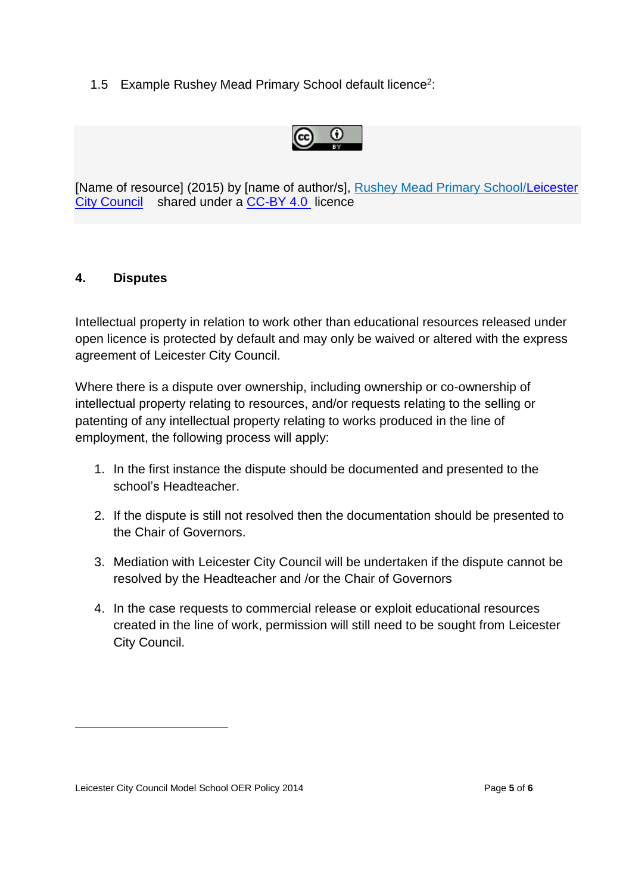1.5 Example Rushey Mead Primary School default licence<sup>2</sup>:

$$
\bigcirc \hspace{-0.5em} \bigcirc \hspace{-0.5em} \bigcirc \hspace{-0.5em} \bigcirc
$$

[Name of resource] (2015) by [name of author/s], Rushey Mead Primary School[/Leicester](http://www.leicester.gov.uk/education-learning.aspx)  [City Council](http://www.leicester.gov.uk/education-learning.aspx) shared under a [CC-BY 4.0](http://creativecommons.org/licenses/by/4.0/) licence

#### <span id="page-4-0"></span>**4. Disputes**

Intellectual property in relation to work other than educational resources released under open licence is protected by default and may only be waived or altered with the express agreement of Leicester City Council.

Where there is a dispute over ownership, including ownership or co-ownership of intellectual property relating to resources, and/or requests relating to the selling or patenting of any intellectual property relating to works produced in the line of employment, the following process will apply:

- 1. In the first instance the dispute should be documented and presented to the school's Headteacher.
- 2. If the dispute is still not resolved then the documentation should be presented to the Chair of Governors.
- 3. Mediation with Leicester City Council will be undertaken if the dispute cannot be resolved by the Headteacher and /or the Chair of Governors
- 4. In the case requests to commercial release or exploit educational resources created in the line of work, permission will still need to be sought from Leicester City Council.

 $\overline{\phantom{a}}$ 

Leicester City Council Model School OER Policy 2014 **Page 5** of 6